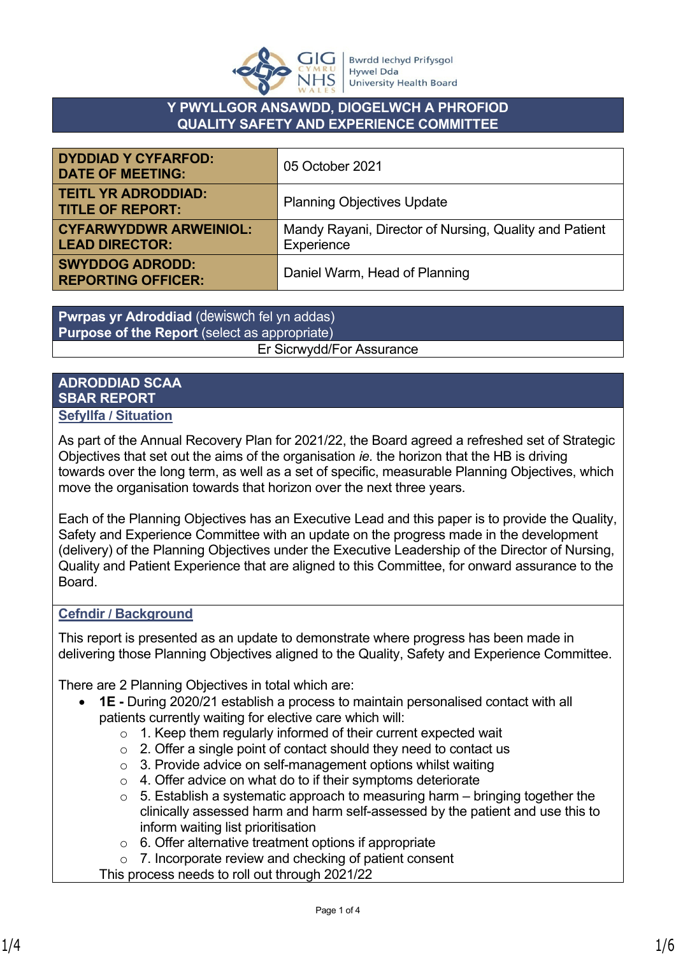

## **Y PWYLLGOR ANSAWDD, DIOGELWCH A PHROFIOD QUALITY SAFETY AND EXPERIENCE COMMITTEE**

| <b>DYDDIAD Y CYFARFOD:</b><br><b>DATE OF MEETING:</b>  | 05 October 2021                                                      |
|--------------------------------------------------------|----------------------------------------------------------------------|
| <b>TEITL YR ADRODDIAD:</b><br><b>TITLE OF REPORT:</b>  | <b>Planning Objectives Update</b>                                    |
| <b>CYFARWYDDWR ARWEINIOL:</b><br><b>LEAD DIRECTOR:</b> | Mandy Rayani, Director of Nursing, Quality and Patient<br>Experience |
| <b>SWYDDOG ADRODD:</b><br><b>REPORTING OFFICER:</b>    | Daniel Warm, Head of Planning                                        |

**Pwrpas yr Adroddiad** (dewiswch fel yn addas) **Purpose of the Report** (select as appropriate) Er Sicrwydd/For Assurance

#### **ADRODDIAD SCAA SBAR REPORT Sefyllfa / Situation**

As part of the Annual Recovery Plan for 2021/22, the Board agreed a refreshed set of Strategic Objectives that set out the aims of the organisation *ie.* the horizon that the HB is driving towards over the long term, as well as a set of specific, measurable Planning Objectives, which move the organisation towards that horizon over the next three years.

Each of the Planning Objectives has an Executive Lead and this paper is to provide the Quality, Safety and Experience Committee with an update on the progress made in the development (delivery) of the Planning Objectives under the Executive Leadership of the Director of Nursing, Quality and Patient Experience that are aligned to this Committee, for onward assurance to the Board.

# **Cefndir / Background**

This report is presented as an update to demonstrate where progress has been made in delivering those Planning Objectives aligned to the Quality, Safety and Experience Committee.

There are 2 Planning Objectives in total which are:

- **1E -** During 2020/21 establish a process to maintain personalised contact with all patients currently waiting for elective care which will:
	- o 1. Keep them regularly informed of their current expected wait
	- $\circ$  2. Offer a single point of contact should they need to contact us
	- o 3. Provide advice on self-management options whilst waiting
	- $\circ$  4. Offer advice on what do to if their symptoms deteriorate
	- $\circ$  5. Establish a systematic approach to measuring harm bringing together the clinically assessed harm and harm self-assessed by the patient and use this to inform waiting list prioritisation
	- $\circ$  6. Offer alternative treatment options if appropriate
	- o 7. Incorporate review and checking of patient consent

This process needs to roll out through 2021/22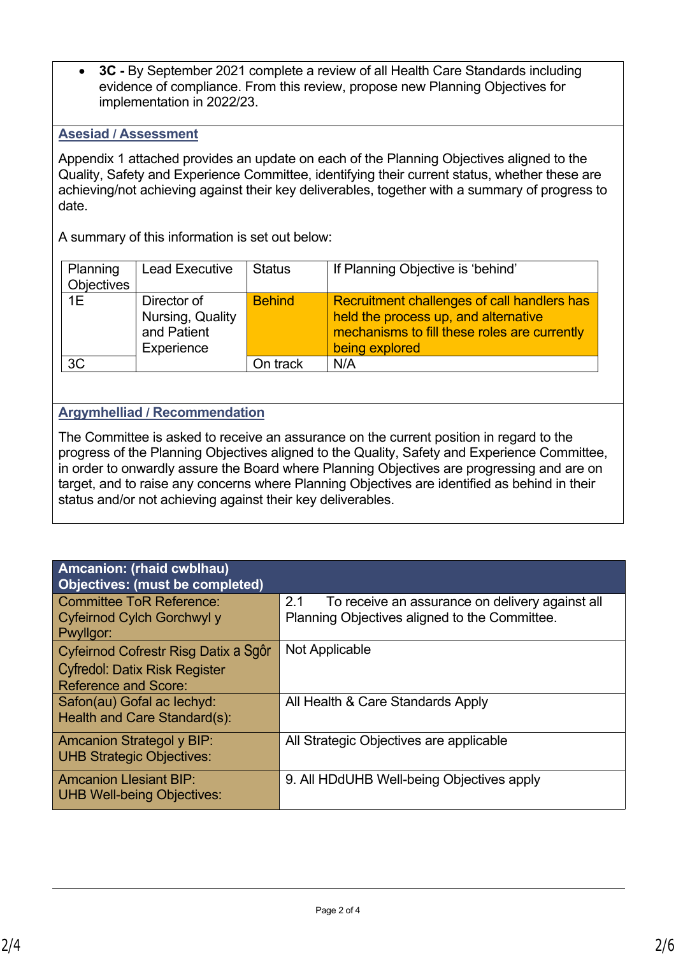**3C -** By September 2021 complete a review of all Health Care Standards including evidence of compliance. From this review, propose new Planning Objectives for implementation in 2022/23.

### **Asesiad / Assessment**

Appendix 1 attached provides an update on each of the Planning Objectives aligned to the Quality, Safety and Experience Committee, identifying their current status, whether these are achieving/not achieving against their key deliverables, together with a summary of progress to date.

A summary of this information is set out below:

| Planning<br><b>Objectives</b> | <b>Lead Executive</b>                                        | <b>Status</b> | If Planning Objective is 'behind'                                                                                                                     |
|-------------------------------|--------------------------------------------------------------|---------------|-------------------------------------------------------------------------------------------------------------------------------------------------------|
| 1E                            | Director of<br>Nursing, Quality<br>and Patient<br>Experience | <b>Behind</b> | Recruitment challenges of call handlers has<br>held the process up, and alternative<br>mechanisms to fill these roles are currently<br>being explored |
| 3C                            |                                                              | On track      | N/A                                                                                                                                                   |

# **Argymhelliad / Recommendation**

The Committee is asked to receive an assurance on the current position in regard to the progress of the Planning Objectives aligned to the Quality, Safety and Experience Committee, in order to onwardly assure the Board where Planning Objectives are progressing and are on target, and to raise any concerns where Planning Objectives are identified as behind in their status and/or not achieving against their key deliverables.

| 2.1<br>To receive an assurance on delivery against all<br>Planning Objectives aligned to the Committee. |
|---------------------------------------------------------------------------------------------------------|
| Not Applicable                                                                                          |
| All Health & Care Standards Apply                                                                       |
| All Strategic Objectives are applicable                                                                 |
| 9. All HDdUHB Well-being Objectives apply                                                               |
|                                                                                                         |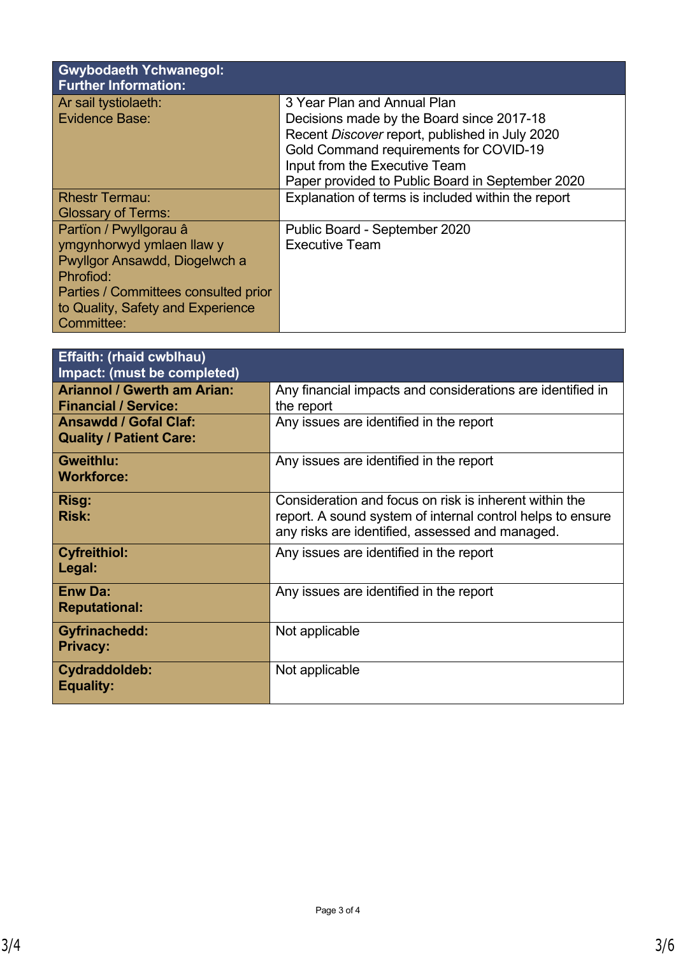| <b>Gwybodaeth Ychwanegol:</b><br><b>Further Information:</b> |                                                                          |
|--------------------------------------------------------------|--------------------------------------------------------------------------|
| Ar sail tystiolaeth:<br><b>Evidence Base:</b>                | 3 Year Plan and Annual Plan<br>Decisions made by the Board since 2017-18 |
|                                                              | Recent Discover report, published in July 2020                           |
|                                                              | Gold Command requirements for COVID-19                                   |
|                                                              | Input from the Executive Team                                            |
|                                                              | Paper provided to Public Board in September 2020                         |
| <b>Rhestr Termau:</b>                                        | Explanation of terms is included within the report                       |
| <b>Glossary of Terms:</b>                                    |                                                                          |
| Partïon / Pwyllgorau â                                       | Public Board - September 2020                                            |
| ymgynhorwyd ymlaen llaw y                                    | <b>Executive Team</b>                                                    |
| Pwyllgor Ansawdd, Diogelwch a                                |                                                                          |
| Phrofiod:                                                    |                                                                          |
| Parties / Committees consulted prior                         |                                                                          |
| to Quality, Safety and Experience                            |                                                                          |
| Committee:                                                   |                                                                          |

| <b>Effaith: (rhaid cwblhau)</b><br><b>Impact: (must be completed)</b> |                                                                                                                                                                         |
|-----------------------------------------------------------------------|-------------------------------------------------------------------------------------------------------------------------------------------------------------------------|
| <b>Ariannol / Gwerth am Arian:</b><br><b>Financial / Service:</b>     | Any financial impacts and considerations are identified in<br>the report                                                                                                |
| <b>Ansawdd / Gofal Claf:</b><br><b>Quality / Patient Care:</b>        | Any issues are identified in the report                                                                                                                                 |
| <b>Gweithlu:</b><br><b>Workforce:</b>                                 | Any issues are identified in the report                                                                                                                                 |
| Risg:<br><b>Risk:</b>                                                 | Consideration and focus on risk is inherent within the<br>report. A sound system of internal control helps to ensure<br>any risks are identified, assessed and managed. |
| <b>Cyfreithiol:</b><br>Legal:                                         | Any issues are identified in the report                                                                                                                                 |
| <b>Enw Da:</b><br><b>Reputational:</b>                                | Any issues are identified in the report                                                                                                                                 |
| <b>Gyfrinachedd:</b><br><b>Privacy:</b>                               | Not applicable                                                                                                                                                          |
| Cydraddoldeb:<br><b>Equality:</b>                                     | Not applicable                                                                                                                                                          |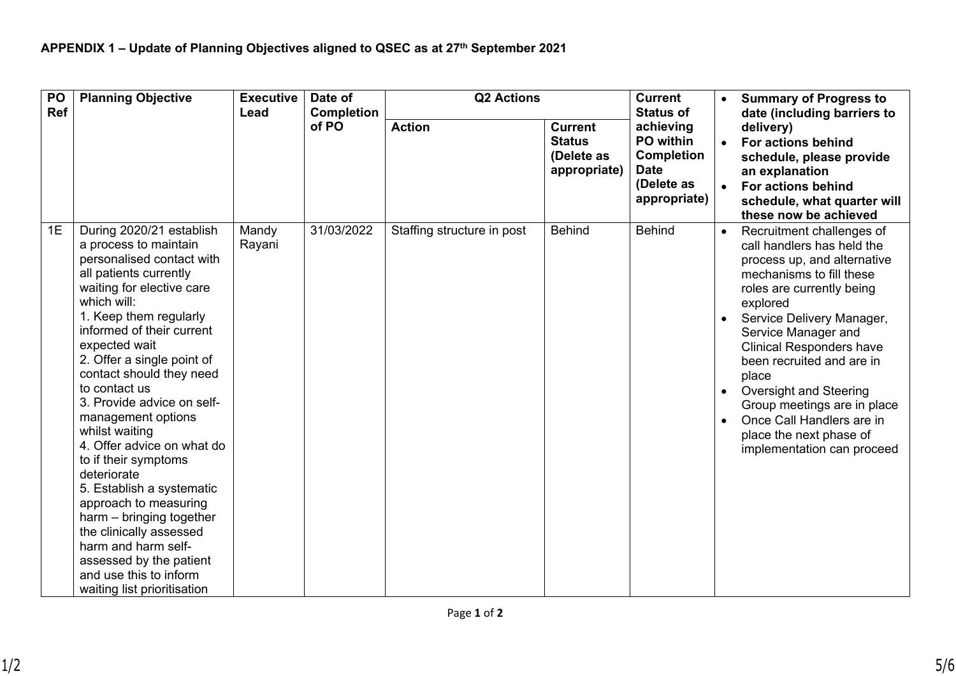| PO<br><b>Ref</b> | <b>Planning Objective</b>                                                                                                                                                                                                                                                                                                                                                                                                                                                                                                                                                                                                                                                  | <b>Executive</b><br>Lead | Date of<br><b>Completion</b> | <b>Q2 Actions</b>          |                                                               |                                                                                          |                                                                                                                                                                                                                                                                                                                                                                                                                                                | <b>Current</b><br><b>Status of</b> | <b>Summary of Progress to</b><br>date (including barriers to |
|------------------|----------------------------------------------------------------------------------------------------------------------------------------------------------------------------------------------------------------------------------------------------------------------------------------------------------------------------------------------------------------------------------------------------------------------------------------------------------------------------------------------------------------------------------------------------------------------------------------------------------------------------------------------------------------------------|--------------------------|------------------------------|----------------------------|---------------------------------------------------------------|------------------------------------------------------------------------------------------|------------------------------------------------------------------------------------------------------------------------------------------------------------------------------------------------------------------------------------------------------------------------------------------------------------------------------------------------------------------------------------------------------------------------------------------------|------------------------------------|--------------------------------------------------------------|
|                  |                                                                                                                                                                                                                                                                                                                                                                                                                                                                                                                                                                                                                                                                            |                          | of PO                        | <b>Action</b>              | <b>Current</b><br><b>Status</b><br>(Delete as<br>appropriate) | achieving<br>PO within<br><b>Completion</b><br><b>Date</b><br>(Delete as<br>appropriate) | delivery)<br>• For actions behind<br>schedule, please provide<br>an explanation<br>For actions behind<br>schedule, what quarter will<br>these now be achieved                                                                                                                                                                                                                                                                                  |                                    |                                                              |
| 1E               | During 2020/21 establish<br>a process to maintain<br>personalised contact with<br>all patients currently<br>waiting for elective care<br>which will:<br>1. Keep them regularly<br>informed of their current<br>expected wait<br>2. Offer a single point of<br>contact should they need<br>to contact us<br>3. Provide advice on self-<br>management options<br>whilst waiting<br>4. Offer advice on what do<br>to if their symptoms<br>deteriorate<br>5. Establish a systematic<br>approach to measuring<br>harm - bringing together<br>the clinically assessed<br>harm and harm self-<br>assessed by the patient<br>and use this to inform<br>waiting list prioritisation | Mandy<br>Rayani          | 31/03/2022                   | Staffing structure in post | <b>Behind</b>                                                 | <b>Behind</b>                                                                            | Recruitment challenges of<br>call handlers has held the<br>process up, and alternative<br>mechanisms to fill these<br>roles are currently being<br>explored<br>Service Delivery Manager,<br>Service Manager and<br><b>Clinical Responders have</b><br>been recruited and are in<br>place<br><b>Oversight and Steering</b><br>Group meetings are in place<br>Once Call Handlers are in<br>place the next phase of<br>implementation can proceed |                                    |                                                              |